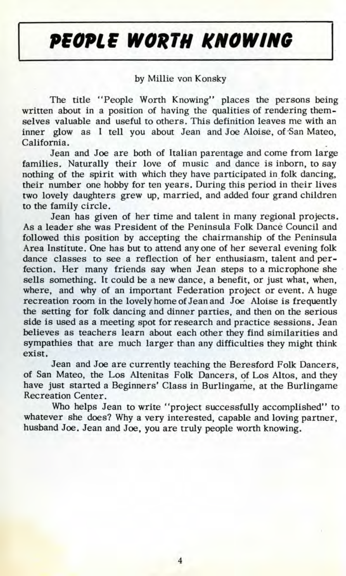## *PEOPLE WOKTH KNOWING*

## by Millie von Konsky

The title "People Worth Knowing" places the persons being written about in a position of having the qualities of rendering themselves valuable and useful to others. This definition leaves me with an inner glow as I tell you about Jean and Joe Aloise, of San Mateo, California.

Jean and Joe are both of Italian parentage and come from large families. Naturally their love of music and dance is inborn, to say nothing of the spirit with which they have participated in folk dancing, their number one hobby for ten years. During this period in their lives two lovely daughters grew up, married, and added four grand children to the family circle.

Jean has given of her time and talent in many regional projects. As a leader she was President of the Peninsula Folk Dance Council and followed this position by accepting the chairmanship of the Peninsula Area Institute. One has but to attend anyone of her several evening folk dance classes to see a reflection of her enthusiasm, talent and perfection. Her many friends say when Jean steps to a microphone she sells something. It could be a new dance, a benefit, or just what, when, where, and why of an important Federation project or event. A huge recreation room in the lovely home of Jean and Joe Aloise is frequently the setting for folk dancing and dinner parties, and then on the serious side is used as a meeting spot for research and practice sessions. Jean believes as teachers learn about each other they find similarities and sympathies that are much larger than any difficulties they might think exist.

Jean and Joe are currently teaching the Beresford Folk Dancers, of San Mateo, the Los Altenitas Folk Dancers, of Los Altos, and they have just started a Beginners' Class in Burlingame, at the Burlingame Recreation Center.

Who helps Jean to write "project successfully accomplished" to whatever she does? Why a very interested, capable and loving partner, husband Joe. Jean and Joe, you are truly people worth knowing.